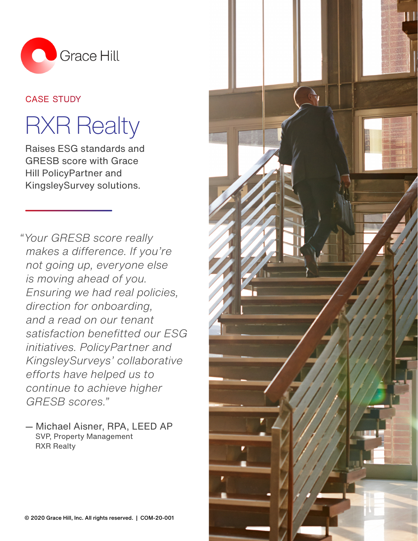

# case study

# **RXR Realty**

Raises ESG standards and GRESB score with Grace Hill PolicyPartner and KingsleySurvey solutions.

*"Your GRESB score really makes a difference. If you're not going up, everyone else is moving ahead of you. Ensuring we had real policies, direction for onboarding, and a read on our tenant satisfaction benefitted our ESG initiatives. PolicyPartner and KingsleySurveys' collaborative efforts have helped us to continue to achieve higher GRESB scores."*

— Michael Aisner, RPA, LEED AP SVP, Property Management RXR Realty

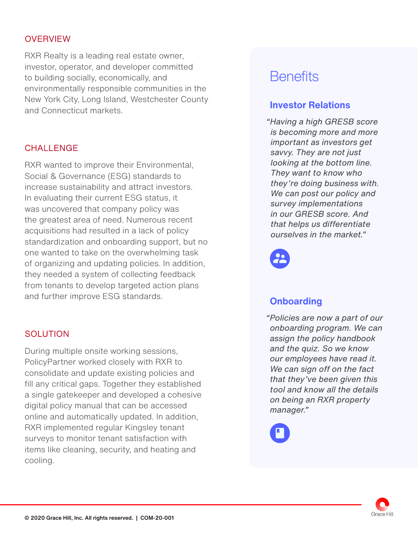#### **OVERVIEW**

RXR Realty is a leading real estate owner, investor, operator, and developer committed to building socially, economically, and environmentally responsible communities in the New York City, Long Island, Westchester County and Connecticut markets.

## CHALL FNGF

RXR wanted to improve their Environmental, Social & Governance (ESG) standards to increase sustainability and attract investors. In evaluating their current ESG status, it was uncovered that company policy was the greatest area of need. Numerous recent acquisitions had resulted in a lack of policy standardization and onboarding support, but no one wanted to take on the overwhelming task of organizing and updating policies. In addition, they needed a system of collecting feedback from tenants to develop targeted action plans and further improve ESG standards.

## **SOLUTION**

During multiple onsite working sessions, PolicyPartner worked closely with RXR to consolidate and update existing policies and fill any critical gaps. Together they established a single gatekeeper and developed a cohesive digital policy manual that can be accessed online and automatically updated. In addition, RXR implemented regular Kingsley tenant surveys to monitor tenant satisfaction with items like cleaning, security, and heating and cooling.

# **Benefits**

# **Investor Relations**

 *"Having a high GRESB score is becoming more and more important as investors get savvy. They are not just looking at the bottom line. They want to know who they're doing business with. We can post our policy and survey implementations in our GRESB score. And that helps us differentiate ourselves in the market."*



# **Onboarding**

*"Policies are now a part of our onboarding program. We can assign the policy handbook and the quiz. So we know our employees have read it. We can sign off on the fact that they've been given this tool and know all the details on being an RXR property manager."*